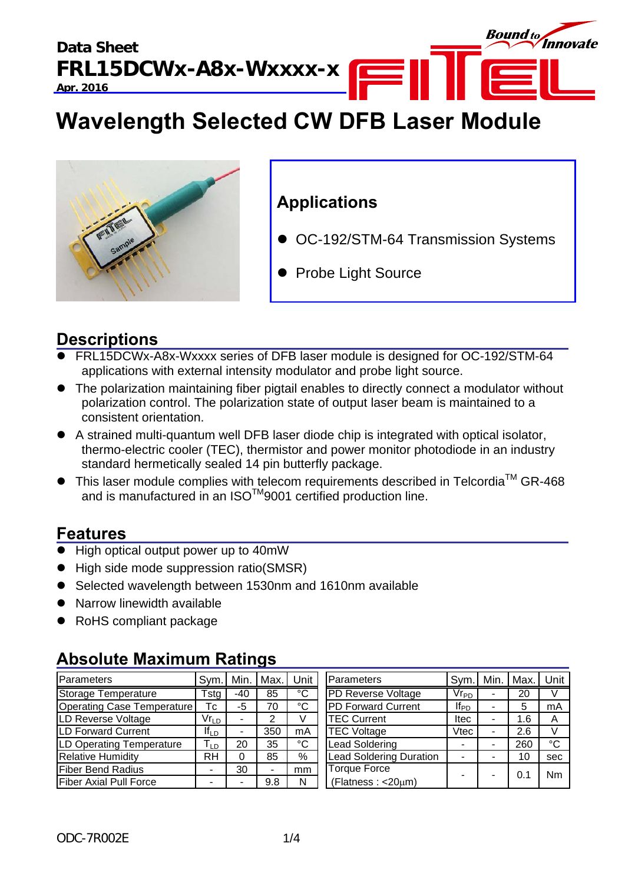**Data Sheet FRL15DCWx-A8x-Wxxxx-x Apr. 2016** 



# **Wavelength Selected CW DFB Laser Module**



# **Applications**

- OC-192/STM-64 Transmission Systems
- Probe Light Source

# **Descriptions**

- FRL15DCWx-A8x-Wxxxx series of DFB laser module is designed for OC-192/STM-64 applications with external intensity modulator and probe light source.
- The polarization maintaining fiber pigtail enables to directly connect a modulator without polarization control. The polarization state of output laser beam is maintained to a consistent orientation.
- A strained multi-quantum well DFB laser diode chip is integrated with optical isolator, thermo-electric cooler (TEC), thermistor and power monitor photodiode in an industry standard hermetically sealed 14 pin butterfly package.
- $\bullet$  This laser module complies with telecom requirements described in Telcordia<sup>TM</sup> GR-468 and is manufactured in an ISO™9001 certified production line.

# **Features**

- High optical output power up to 40mW
- High side mode suppression ratio(SMSR)
- Selected wavelength between 1530nm and 1610nm available
- Narrow linewidth available
- RoHS compliant package

### Parameters | Sym. | Min. | Max. | Unit | |Parameters | Sym. | Min. | Max. | Unit Storage Temperature Tstg | -40 | 85 | °C | PD Reverse Voltage | Vr<sub>PD</sub> | - | 20 | V Operating Case Temperature Tc -5 70 °C PD Forward Current IfPD - 5 mA LD Reverse Voltage  $\vert$  Vr<sub>LD</sub> - 2 V TEC Current Itec - 1.6 A LD Forward Current  $\begin{array}{|c|c|c|c|c|}\n\hline\nI_{LD} & - & 350 & \text{mA} & \text{TEC Voltage} & \text{Vtec} & - & 2.6 & \text{V} \\
\hline\n\end{array}$ LD Operating Temperature TLD 20 35 °C Lead Soldering - - 260 °C Relative Humidity **RH 0 85 % Lead Soldering Duration | - | -** | 10 | sec Fiber Bend Radius | - | 30 | - | mm Fiber Axial Pull Force - - 9.8 N Nm Torque Force  $\text{Torque Force}$ (Flatness : <20 $\mu$ m)  $\left[\begin{array}{ccc} - & 0.1 \\ - & \end{array}\right]$

# **Absolute Maximum Ratings**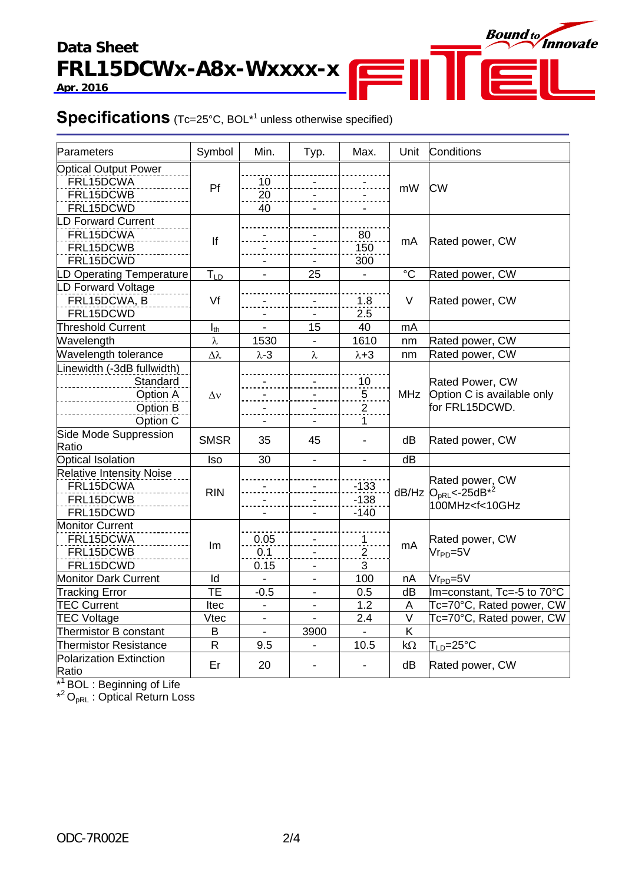## **Data Sheet FRL15DCWx-A8x-Wxxxx-x Apr. 2016**



## **Specifications** (Tc=25°C, BOL<sup>\*1</sup> unless otherwise specified)

| Parameters                                                                 | Symbol                   | Min.                     | Typ.           | Max.                                        | Unit                    | Conditions                                                                     |
|----------------------------------------------------------------------------|--------------------------|--------------------------|----------------|---------------------------------------------|-------------------------|--------------------------------------------------------------------------------|
| <b>Optical Output Power</b><br>FRL15DCWA<br>FRL15DCWB<br>FRL15DCWD         | Pf                       | 10<br>20<br>40           |                |                                             | mW                      | <b>CW</b>                                                                      |
| <b>LD Forward Current</b><br>FRL15DCWA<br>FRL15DCWB<br>FRL15DCWD           | lf                       |                          |                | 80<br>150<br>300                            | mA                      | Rated power, CW                                                                |
| D Operating Temperature                                                    | $T_{LD}$                 |                          | 25             |                                             | $^{\circ}C$             | Rated power, CW                                                                |
| LD Forward Voltage<br>FRL15DCWA, B<br>FRL15DCWD                            | Vf                       |                          |                | 1.8<br>2.5                                  | V                       | Rated power, CW                                                                |
| Threshold Current                                                          | $I_{th}$                 |                          | 15             | 40                                          | mA                      |                                                                                |
| Wavelength                                                                 | λ                        | 1530                     |                | 1610                                        | nm                      | Rated power, CW                                                                |
| Wavelength tolerance                                                       | Δλ                       | $\lambda$ -3             | λ              | $\lambda + 3$                               | nm                      | Rated power, CW                                                                |
| Linewidth (-3dB fullwidth)<br>Standard<br>Option A<br>Option B<br>Option C | $\Delta v$               |                          |                | 10<br>$\overline{5}$<br>$\overline{2}$<br>1 | MHz                     | Rated Power, CW<br>Option C is available only<br>for FRL15DCWD.                |
| Side Mode Suppression<br>Ratio                                             | <b>SMSR</b>              | 35                       | 45             |                                             | dB                      | Rated power, CW                                                                |
| Optical Isolation                                                          | <b>Iso</b>               | 30                       | $\mathbf{r}$   | $\blacksquare$                              | dB                      |                                                                                |
| <b>Relative Intensity Noise</b><br>FRL15DCWA<br>FRL15DCWB<br>FRL15DCWD     | <b>RIN</b>               |                          |                | $-133$<br>$-138$<br>$-140$                  |                         | Rated power, CW<br>dB/Hz $OpRL< -25dB*2$<br>100MHz <f<10ghz< td=""></f<10ghz<> |
| <b>Monitor Current</b><br>FRL15DCWA<br>FRL15DCWB<br>FRL15DCWD              | Im                       | 0.05<br>0.1<br>0.15      |                | $\mathbf 1$<br>$\overline{2}$<br>3          | mA                      | Rated power, CW<br>$V$ r <sub>PD</sub> =5V                                     |
| Monitor Dark Current                                                       | Id                       |                          |                | 100                                         | nA                      | $V$ r <sub>PD</sub> =5 $V$                                                     |
| <b>Tracking Error</b>                                                      | $\overline{\mathsf{TE}}$ | $-0.5$                   |                | 0.5                                         | dB                      | Im=constant, Tc=-5 to 70°C                                                     |
| <b>TEC Current</b>                                                         | <b>Itec</b>              | $\overline{a}$           | $\blacksquare$ | 1.2                                         | A                       | Tc=70°C, Rated power, CW                                                       |
| <b>TEC Voltage</b>                                                         | Vtec                     | $\blacksquare$           |                | 2.4                                         | $\overline{\mathsf{V}}$ | Tc=70°C, Rated power, CW                                                       |
| Thermistor B constant                                                      | B                        | $\overline{\phantom{0}}$ | 3900           |                                             | K                       |                                                                                |
| <b>Thermistor Resistance</b>                                               | $\mathsf{R}$             | 9.5                      | ä,             | 10.5                                        | $k\Omega$               | $\mathsf{T}_{\textsf{LD}}$ =25°C                                               |
| Polarization Extinction<br>Ratio                                           | Er                       | 20                       |                |                                             | dB                      | Rated power, CW                                                                |

 $\overline{r}$ 

**Bound to** Innovate

\*<sup>1</sup> BOL : Beginning of Life

 $*^2O_{pRL}$ : Optical Return Loss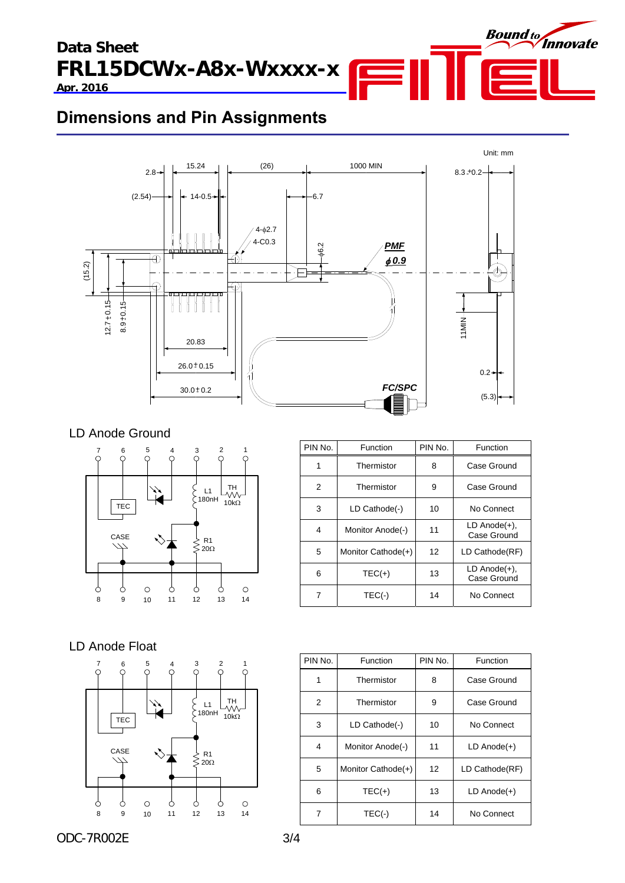**Data Sheet FRL15DCWx-A8x-Wxxxx-x Apr. 2016** 



# **Dimensions and Pin Assignments**



## LD Anode Ground



| PIN No. | Function           | PIN No. | Function                          |
|---------|--------------------|---------|-----------------------------------|
| 1       | Thermistor         | 8       | Case Ground                       |
| 2       | Thermistor         | 9       | Case Ground                       |
| 3       | LD Cathode(-)      | 10      | No Connect                        |
| 4       | Monitor Anode(-)   | 11      | $LD$ Anode $(+)$ ,<br>Case Ground |
| 5       | Monitor Cathode(+) | 12      | LD Cathode(RF)                    |
| 6       | $TEC(+)$           | 13      | $LD$ Anode $(+)$ ,<br>Case Ground |
|         | $TEC(-)$           | 14      | No Connect                        |

## LD Anode Float



| PIN No. | Function           | PIN No. | Function         |
|---------|--------------------|---------|------------------|
| 1       | Thermistor         | 8       | Case Ground      |
| 2       | Thermistor         | 9       | Case Ground      |
| 3       | LD Cathode(-)      | 10      | No Connect       |
| 4       | Monitor Anode(-)   | 11      | $LD$ Anode $(+)$ |
| 5       | Monitor Cathode(+) | 12      | LD Cathode(RF)   |
| 6       | $TEC(+)$           | 13      | $LD$ Anode $(+)$ |
| 7       | $TEC(-)$           | 14      | No Connect       |